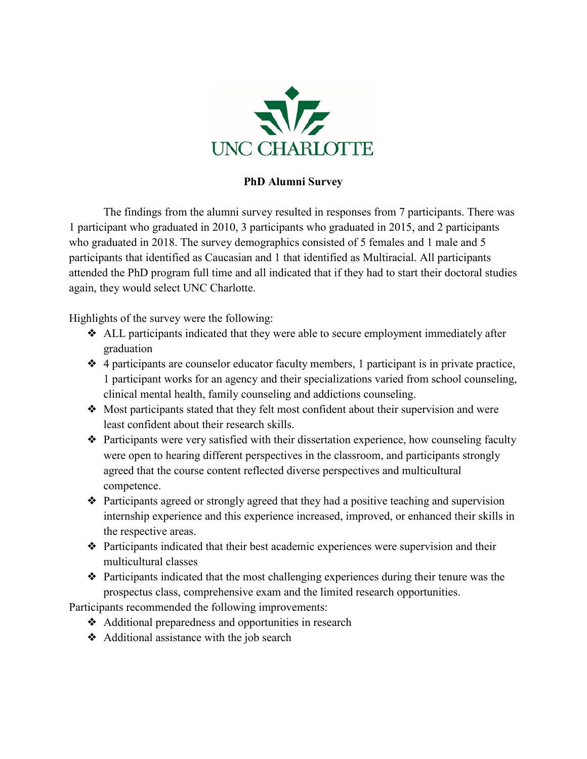

## **PhD Alumni Survey**

The findings from the alumni survey resulted in responses from 7 participants. There was 1 participant who graduated in 2010, 3 participants who graduated in 2015, and 2 participants who graduated in 2018. The survey demographics consisted of 5 females and 1 male and 5 participants that identified as Caucasian and 1 that identified as Multiracial. All participants attended the PhD program full time and all indicated that if they had to start their doctoral studies again, they would select UNC Charlotte.

Highlights of the survey were the following:

- ❖ ALL participants indicated that they were able to secure employment immediately after graduation
- ❖ 4 participants are counselor educator faculty members, 1 participant is in private practice, 1 participant works for an agency and their specializations varied from school counseling, clinical mental health, family counseling and addictions counseling.
- ❖ Most participants stated that they felt most confident about their supervision and were least confident about their research skills.
- ❖ Participants were very satisfied with their dissertation experience, how counseling faculty were open to hearing different perspectives in the classroom, and participants strongly agreed that the course content reflected diverse perspectives and multicultural competence.
- ❖ Participants agreed or strongly agreed that they had a positive teaching and supervision internship experience and this experience increased, improved, or enhanced their skills in the respective areas.
- ❖ Participants indicated that their best academic experiences were supervision and their multicultural classes
- ❖ Participants indicated that the most challenging experiences during their tenure was the prospectus class, comprehensive exam and the limited research opportunities.

Participants recommended the following improvements:

- ❖ Additional preparedness and opportunities in research
- ❖ Additional assistance with the job search